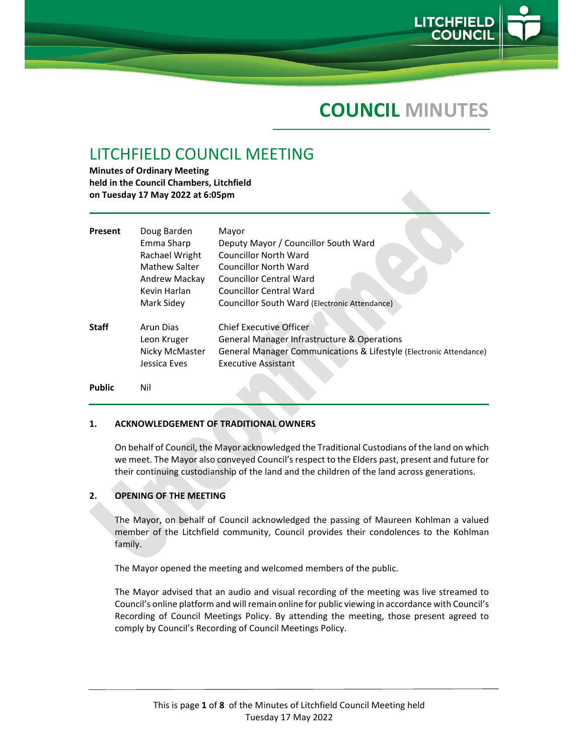

# **COUNCIL MINUTES**

# LITCHFIELD COUNCIL MEETING

**Minutes of Ordinary Meeting held in the Council Chambers, Litchfield on Tuesday 17 May 2022 at 6:05pm**

| Present      | Doug Barden    | Mayor                                                              |
|--------------|----------------|--------------------------------------------------------------------|
|              | Emma Sharp     | Deputy Mayor / Councillor South Ward                               |
|              | Rachael Wright | <b>Councillor North Ward</b>                                       |
|              | Mathew Salter  | <b>Councillor North Ward</b>                                       |
|              | Andrew Mackay  | <b>Councillor Central Ward</b>                                     |
|              | Kevin Harlan   | Councillor Central Ward                                            |
|              | Mark Sidey     | Councillor South Ward (Electronic Attendance)                      |
| <b>Staff</b> | Arun Dias      | <b>Chief Executive Officer</b>                                     |
|              | Leon Kruger    | <b>General Manager Infrastructure &amp; Operations</b>             |
|              | Nicky McMaster | General Manager Communications & Lifestyle (Electronic Attendance) |
|              | Jessica Eves   | <b>Executive Assistant</b>                                         |
|              |                |                                                                    |

**Public**  Nil

### **1. ACKNOWLEDGEMENT OF TRADITIONAL OWNERS**

On behalf of Council, the Mayor acknowledged the Traditional Custodians of the land on which we meet. The Mayor also conveyed Council's respect to the Elders past, present and future for their continuing custodianship of the land and the children of the land across generations.

### **2. OPENING OF THE MEETING**

The Mayor, on behalf of Council acknowledged the passing of Maureen Kohlman a valued member of the Litchfield community, Council provides their condolences to the Kohlman family.

The Mayor opened the meeting and welcomed members of the public.

The Mayor advised that an audio and visual recording of the meeting was live streamed to Council's online platform and will remain online for public viewing in accordance with Council's Recording of Council Meetings Policy. By attending the meeting, those present agreed to comply by Council's Recording of Council Meetings Policy.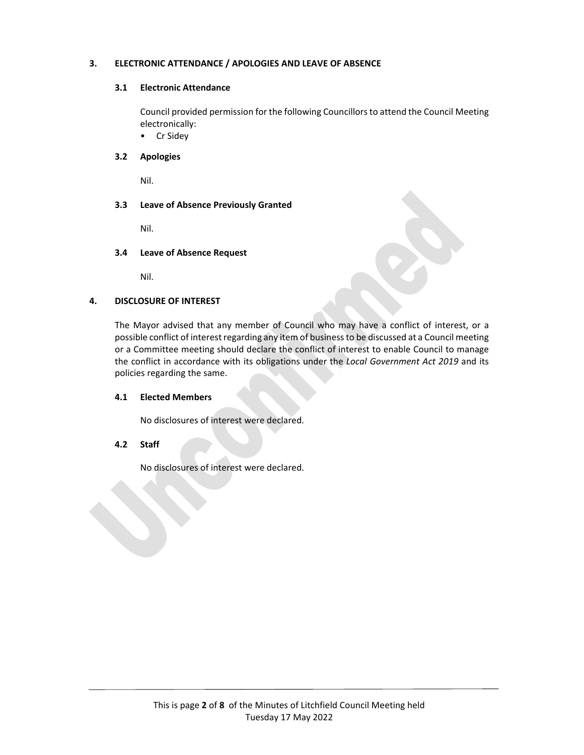## **3. ELECTRONIC ATTENDANCE / APOLOGIES AND LEAVE OF ABSENCE**

## **3.1 Electronic Attendance**

Council provided permission for the following Councillorsto attend the Council Meeting electronically:

• Cr Sidey

# **3.2 Apologies**

Nil.

## **3.3 Leave of Absence Previously Granted**

Nil.

### **3.4 Leave of Absence Request**

Nil.

## **4. DISCLOSURE OF INTEREST**

The Mayor advised that any member of Council who may have a conflict of interest, or a possible conflict of interest regarding any item of businessto be discussed at a Council meeting or a Committee meeting should declare the conflict of interest to enable Council to manage the conflict in accordance with its obligations under the *Local Government Act 2019* and its policies regarding the same.

### **4.1 Elected Members**

the contract of the contract of the

No disclosures of interest were declared.

### **4.2 Staff**

No disclosures of interest were declared.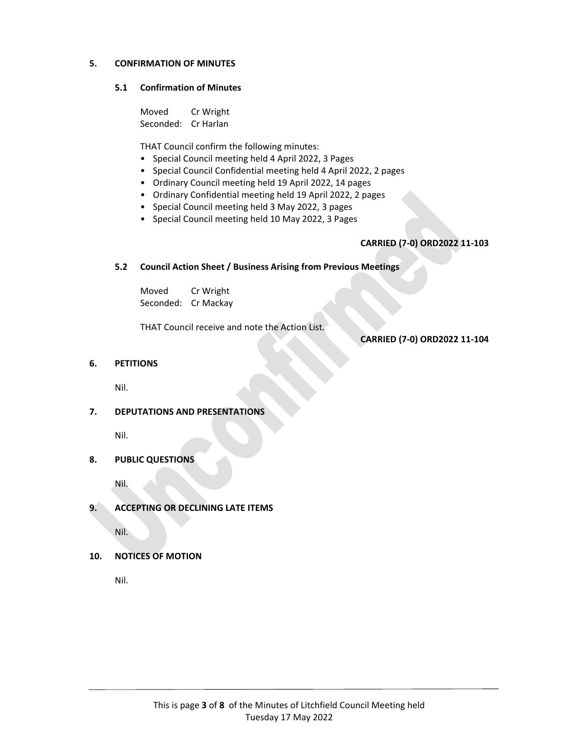## **5. CONFIRMATION OF MINUTES**

#### **5.1 Confirmation of Minutes**

 Moved: Cr Wright Seconded: Cr Harlan

THAT Council confirm the following minutes:

- Special Council meeting held 4 April 2022, 3 Pages
- Special Council Confidential meeting held 4 April 2022, 2 pages
- Ordinary Council meeting held 19 April 2022, 14 pages
- Ordinary Confidential meeting held 19 April 2022, 2 pages
- Special Council meeting held 3 May 2022, 3 pages
- Special Council meeting held 10 May 2022, 3 Pages

# **CARRIED (7‐0) ORD2022 11‐103**

### **5.2 Council Action Sheet / Business Arising from Previous Meetings**

 Moved: Cr Wright Seconded: Cr Mackay

THAT Council receive and note the Action List.

**CARRIED (7‐0) ORD2022 11‐104**

## **6. PETITIONS**

Nil.

**7. DEPUTATIONS AND PRESENTATIONS**

Nil.

**8. PUBLIC QUESTIONS**

Nil.

**9. ACCEPTING OR DECLINING LATE ITEMS**

Nil.

**10. NOTICES OF MOTION**

Nil.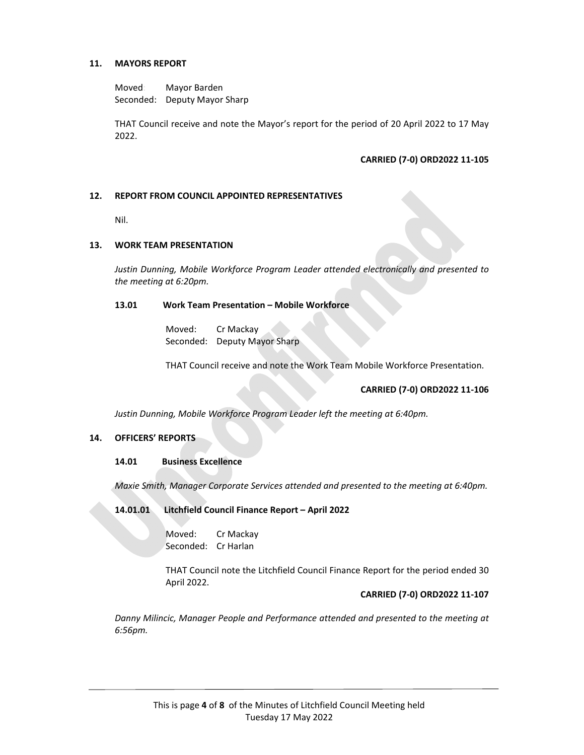## **11. MAYORS REPORT**

Moved: Mayor Barden Seconded: Deputy Mayor Sharp

THAT Council receive and note the Mayor's report for the period of 20 April 2022 to 17 May 2022.

## **CARRIED (7‐0) ORD2022 11‐105**

## **12. REPORT FROM COUNCIL APPOINTED REPRESENTATIVES**

Nil.

### **13. WORK TEAM PRESENTATION**

*Justin Dunning, Mobile Workforce Program Leader attended electronically and presented to the meeting at 6:20pm.*

#### **13.01 Work Team Presentation – Mobile Workforce**

 Moved: Cr Mackay Seconded: Deputy Mayor Sharp

THAT Council receive and note the Work Team Mobile Workforce Presentation.

### **CARRIED (7‐0) ORD2022 11‐106**

*Justin Dunning, Mobile Workforce Program Leader left the meeting at 6:40pm.*

### **14. OFFICERS' REPORTS**

### **14.01 Business Excellence**

*Maxie Smith, Manager Corporate Services attended and presented to the meeting at 6:40pm.*

**14.01.01 Litchfield Council Finance Report – April 2022**

 Moved: Cr Mackay Seconded: Cr Harlan

THAT Council note the Litchfield Council Finance Report for the period ended 30 April 2022.

### **CARRIED (7‐0) ORD2022 11‐107**

*Danny Milincic, Manager People and Performance attended and presented to the meeting at 6:56pm.*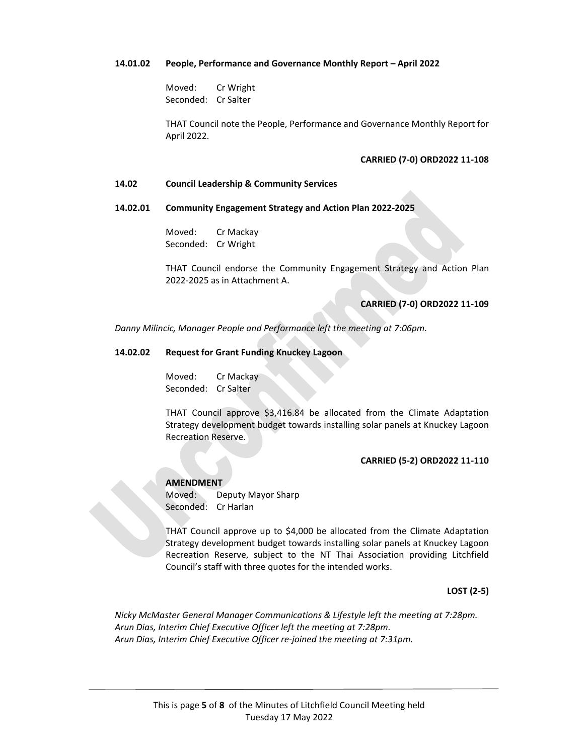#### **14.01.02 People, Performance and Governance Monthly Report – April 2022**

 Moved: Cr Wright Seconded: Cr Salter

THAT Council note the People, Performance and Governance Monthly Report for April 2022.

#### **CARRIED (7‐0) ORD2022 11‐108**

#### **14.02 Council Leadership & Community Services**

#### **14.02.01 Community Engagement Strategy and Action Plan 2022‐2025**

 Moved: Cr Mackay Seconded: Cr Wright

THAT Council endorse the Community Engagement Strategy and Action Plan 2022‐2025 as in Attachment A.

## **CARRIED (7‐0) ORD2022 11‐109**

*Danny Milincic, Manager People and Performance left the meeting at 7:06pm.*

#### **14.02.02 Request for Grant Funding Knuckey Lagoon**

 Moved: Cr Mackay Seconded: Cr Salter

THAT Council approve \$3,416.84 be allocated from the Climate Adaptation Strategy development budget towards installing solar panels at Knuckey Lagoon Recreation Reserve.

#### **CARRIED (5‐2) ORD2022 11‐110**

 **AMENDMENT** Moved: Deputy Mayor Sharp Seconded: Cr Harlan

THAT Council approve up to \$4,000 be allocated from the Climate Adaptation Strategy development budget towards installing solar panels at Knuckey Lagoon Recreation Reserve, subject to the NT Thai Association providing Litchfield Council's staff with three quotes for the intended works.

**LOST (2‐5)** 

*Nicky McMaster General Manager Communications & Lifestyle left the meeting at 7:28pm. Arun Dias, Interim Chief Executive Officer left the meeting at 7:28pm. Arun Dias, Interim Chief Executive Officer re‐joined the meeting at 7:31pm.*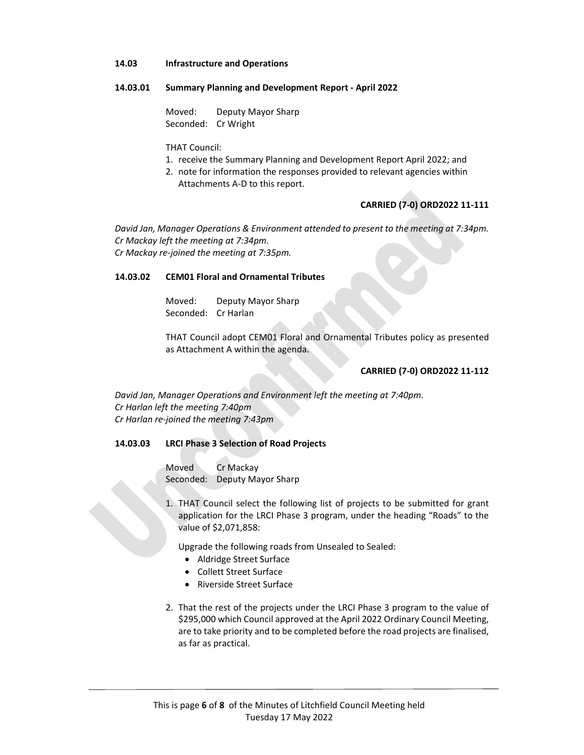#### **14.03 Infrastructure and Operations**

#### **14.03.01 Summary Planning and Development Report ‐ April 2022**

 Moved: Deputy Mayor Sharp Seconded: Cr Wright

THAT Council:

- 1. receive the Summary Planning and Development Report April 2022; and
- 2. note for information the responses provided to relevant agencies within Attachments A‐D to this report.

# **CARRIED (7‐0) ORD2022 11‐111**

*David Jan, Manager Operations & Environment attended to present to the meeting at 7:34pm. Cr Mackay left the meeting at 7:34pm. Cr Mackay re‐joined the meeting at 7:35pm.*

#### **14.03.02 CEM01 Floral and Ornamental Tributes**

 Moved: Deputy Mayor Sharp Seconded: Cr Harlan

THAT Council adopt CEM01 Floral and Ornamental Tributes policy as presented as Attachment A within the agenda.

#### **CARRIED (7‐0) ORD2022 11‐112**

*David Jan, Manager Operations and Environment left the meeting at 7:40pm. Cr Harlan left the meeting 7:40pm Cr Harlan re‐joined the meeting 7:43pm* 

### **14.03.03 LRCI Phase 3 Selection of Road Projects**

Moved Cr Mackay Seconded: Deputy Mayor Sharp

1. THAT Council select the following list of projects to be submitted for grant application for the LRCI Phase 3 program, under the heading "Roads" to the value of \$2,071,858:

Upgrade the following roads from Unsealed to Sealed:

- Aldridge Street Surface
- Collett Street Surface
- Riverside Street Surface
- 2. That the rest of the projects under the LRCI Phase 3 program to the value of \$295,000 which Council approved at the April 2022 Ordinary Council Meeting, are to take priority and to be completed before the road projects are finalised, as far as practical.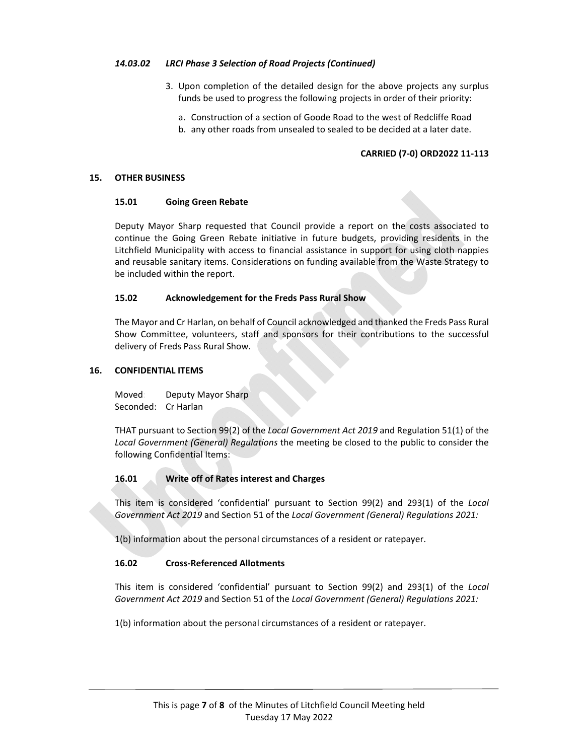## *14.03.02 LRCI Phase 3 Selection of Road Projects (Continued)*

- 3. Upon completion of the detailed design for the above projects any surplus funds be used to progress the following projects in order of their priority:
	- a. Construction of a section of Goode Road to the west of Redcliffe Road
	- b. any other roads from unsealed to sealed to be decided at a later date.

# **CARRIED (7‐0) ORD2022 11‐113**

### **15. OTHER BUSINESS**

## **15.01 Going Green Rebate**

Deputy Mayor Sharp requested that Council provide a report on the costs associated to continue the Going Green Rebate initiative in future budgets, providing residents in the Litchfield Municipality with access to financial assistance in support for using cloth nappies and reusable sanitary items. Considerations on funding available from the Waste Strategy to be included within the report.

## **15.02 Acknowledgement for the Freds Pass Rural Show**

The Mayor and Cr Harlan, on behalf of Council acknowledged and thanked the Freds Pass Rural Show Committee, volunteers, staff and sponsors for their contributions to the successful delivery of Freds Pass Rural Show.

## **16. CONFIDENTIAL ITEMS**

Moved: Deputy Mayor Sharp Seconded: Cr Harlan

THAT pursuant to Section 99(2) of the *Local Government Act 2019* and Regulation 51(1) of the *Local Government (General) Regulations* the meeting be closed to the public to consider the following Confidential Items:

# **16.01 Write off of Rates interest and Charges**

This item is considered 'confidential' pursuant to Section 99(2) and 293(1) of the *Local Government Act 2019* and Section 51 of the *Local Government (General) Regulations 2021:*

1(b) information about the personal circumstances of a resident or ratepayer.

# **16.02 Cross‐Referenced Allotments**

This item is considered 'confidential' pursuant to Section 99(2) and 293(1) of the *Local Government Act 2019* and Section 51 of the *Local Government (General) Regulations 2021:*

1(b) information about the personal circumstances of a resident or ratepayer.